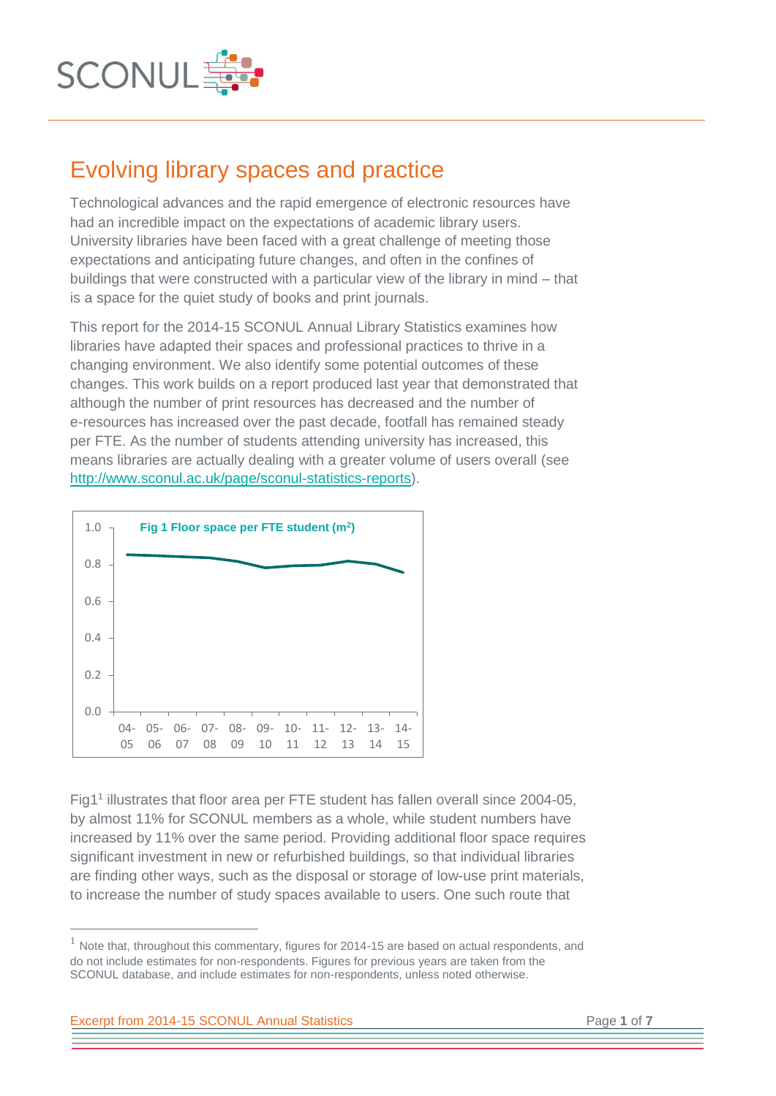

## Evolving library spaces and practice

Technological advances and the rapid emergence of electronic resources have had an incredible impact on the expectations of academic library users. University libraries have been faced with a great challenge of meeting those expectations and anticipating future changes, and often in the confines of buildings that were constructed with a particular view of the library in mind – that is a space for the quiet study of books and print journals.

This report for the 2014-15 SCONUL Annual Library Statistics examines how libraries have adapted their spaces and professional practices to thrive in a changing environment. We also identify some potential outcomes of these changes. This work builds on a report produced last year that demonstrated that although the number of print resources has decreased and the number of e-resources has increased over the past decade, footfall has remained steady per FTE. As the number of students attending university has increased, this means libraries are actually dealing with a greater volume of users overall (see [http://www.sconul.ac.uk/page/sconul-statistics-reports\)](http://www.sconul.ac.uk/page/sconul-statistics-reports).



Fig1<sup>1</sup> illustrates that floor area per FTE student has fallen overall since 2004-05, by almost 11% for SCONUL members as a whole, while student numbers have increased by 11% over the same period. Providing additional floor space requires significant investment in new or refurbished buildings, so that individual libraries are finding other ways, such as the disposal or storage of low-use print materials, to increase the number of study spaces available to users. One such route that

 $1$  Note that, throughout this commentary, figures for 2014-15 are based on actual respondents, and do not include estimates for non-respondents. Figures for previous years are taken from the SCONUL database, and include estimates for non-respondents, unless noted otherwise.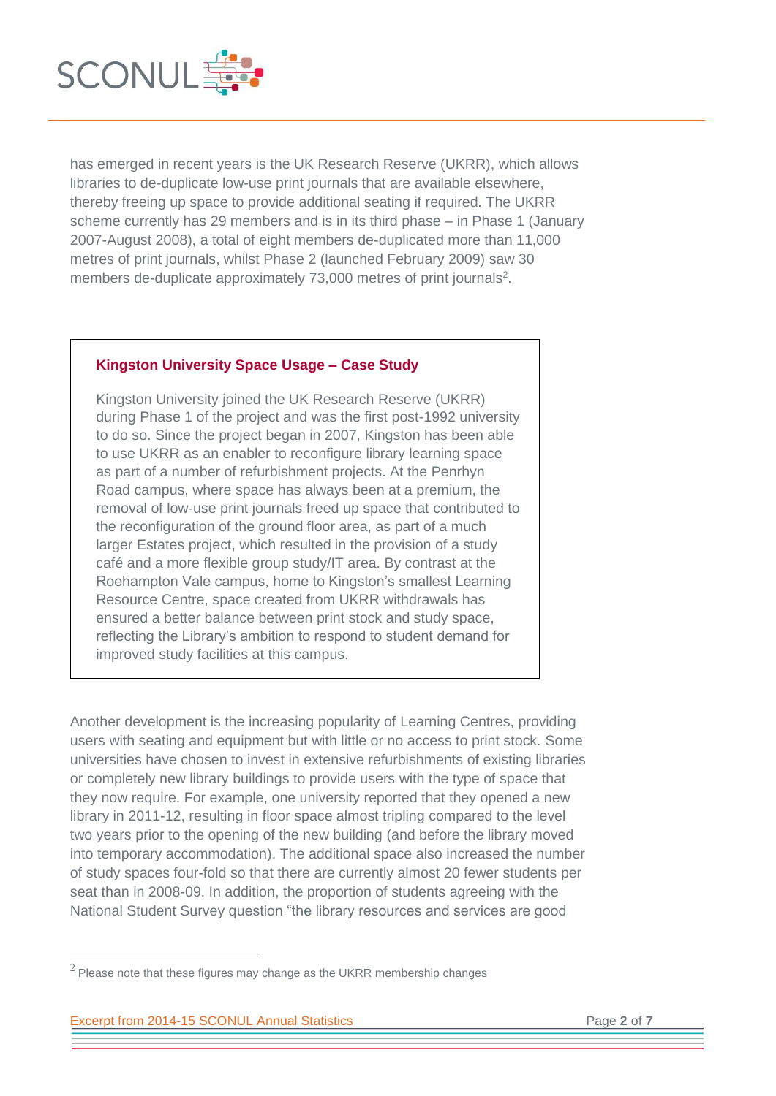

has emerged in recent years is the UK Research Reserve (UKRR), which allows libraries to de-duplicate low-use print journals that are available elsewhere, thereby freeing up space to provide additional seating if required. The UKRR scheme currently has 29 members and is in its third phase – in Phase 1 (January 2007-August 2008), a total of eight members de-duplicated more than 11,000 metres of print journals, whilst Phase 2 (launched February 2009) saw 30 members de-duplicate approximately 73,000 metres of print journals<sup>2</sup>.

## **Kingston University Space Usage – Case Study**

Kingston University joined the UK Research Reserve (UKRR) during Phase 1 of the project and was the first post-1992 university to do so. Since the project began in 2007, Kingston has been able to use UKRR as an enabler to reconfigure library learning space as part of a number of refurbishment projects. At the Penrhyn Road campus, where space has always been at a premium, the removal of low-use print journals freed up space that contributed to the reconfiguration of the ground floor area, as part of a much larger Estates project, which resulted in the provision of a study café and a more flexible group study/IT area. By contrast at the Roehampton Vale campus, home to Kingston's smallest Learning Resource Centre, space created from UKRR withdrawals has ensured a better balance between print stock and study space, reflecting the Library's ambition to respond to student demand for improved study facilities at this campus.

Another development is the increasing popularity of Learning Centres, providing users with seating and equipment but with little or no access to print stock. Some universities have chosen to invest in extensive refurbishments of existing libraries or completely new library buildings to provide users with the type of space that they now require. For example, one university reported that they opened a new library in 2011-12, resulting in floor space almost tripling compared to the level two years prior to the opening of the new building (and before the library moved into temporary accommodation). The additional space also increased the number of study spaces four-fold so that there are currently almost 20 fewer students per seat than in 2008-09. In addition, the proportion of students agreeing with the National Student Survey question "the library resources and services are good

 $^2$  Please note that these figures may change as the UKRR membership changes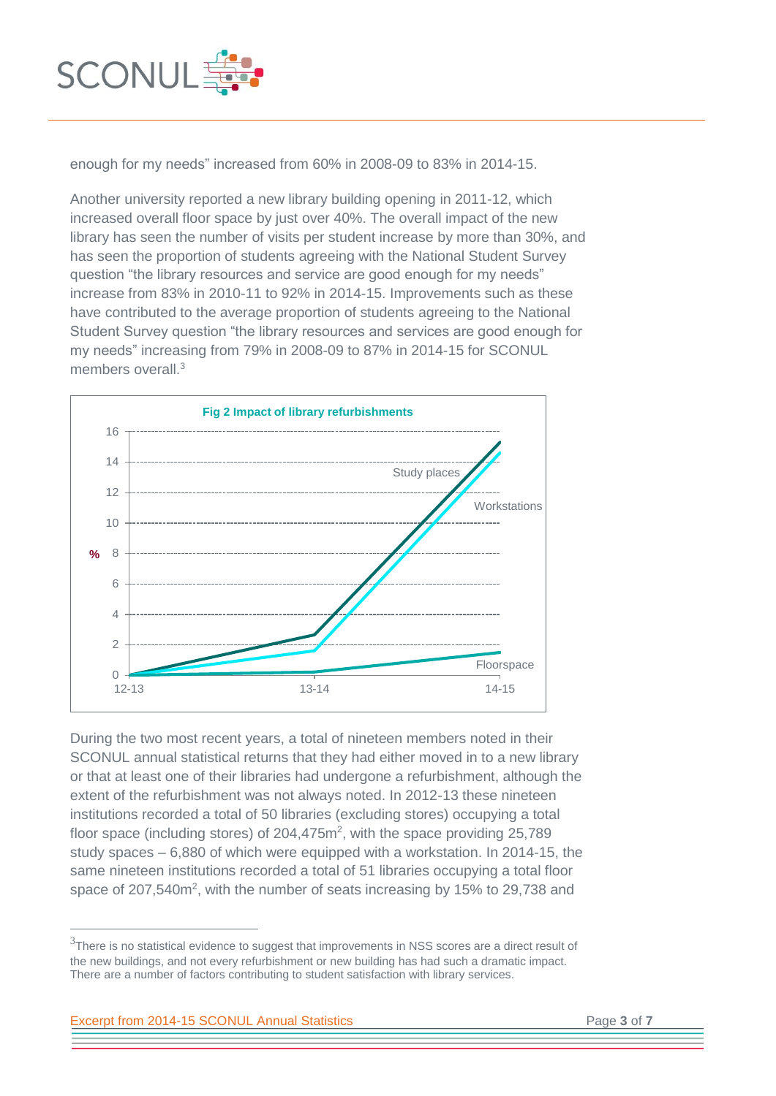

enough for my needs" increased from 60% in 2008-09 to 83% in 2014-15.

Another university reported a new library building opening in 2011-12, which increased overall floor space by just over 40%. The overall impact of the new library has seen the number of visits per student increase by more than 30%, and has seen the proportion of students agreeing with the National Student Survey question "the library resources and service are good enough for my needs" increase from 83% in 2010-11 to 92% in 2014-15. Improvements such as these have contributed to the average proportion of students agreeing to the National Student Survey question "the library resources and services are good enough for my needs" increasing from 79% in 2008-09 to 87% in 2014-15 for SCONUL members overall.<sup>3</sup>



During the two most recent years, a total of nineteen members noted in their SCONUL annual statistical returns that they had either moved in to a new library or that at least one of their libraries had undergone a refurbishment, although the extent of the refurbishment was not always noted. In 2012-13 these nineteen institutions recorded a total of 50 libraries (excluding stores) occupying a total floor space (including stores) of  $204,475m^2$ , with the space providing  $25,789$ study spaces – 6,880 of which were equipped with a workstation. In 2014-15, the same nineteen institutions recorded a total of 51 libraries occupying a total floor space of 207,540m<sup>2</sup>, with the number of seats increasing by 15% to 29,738 and

 $3$ There is no statistical evidence to suggest that improvements in NSS scores are a direct result of the new buildings, and not every refurbishment or new building has had such a dramatic impact. There are a number of factors contributing to student satisfaction with library services.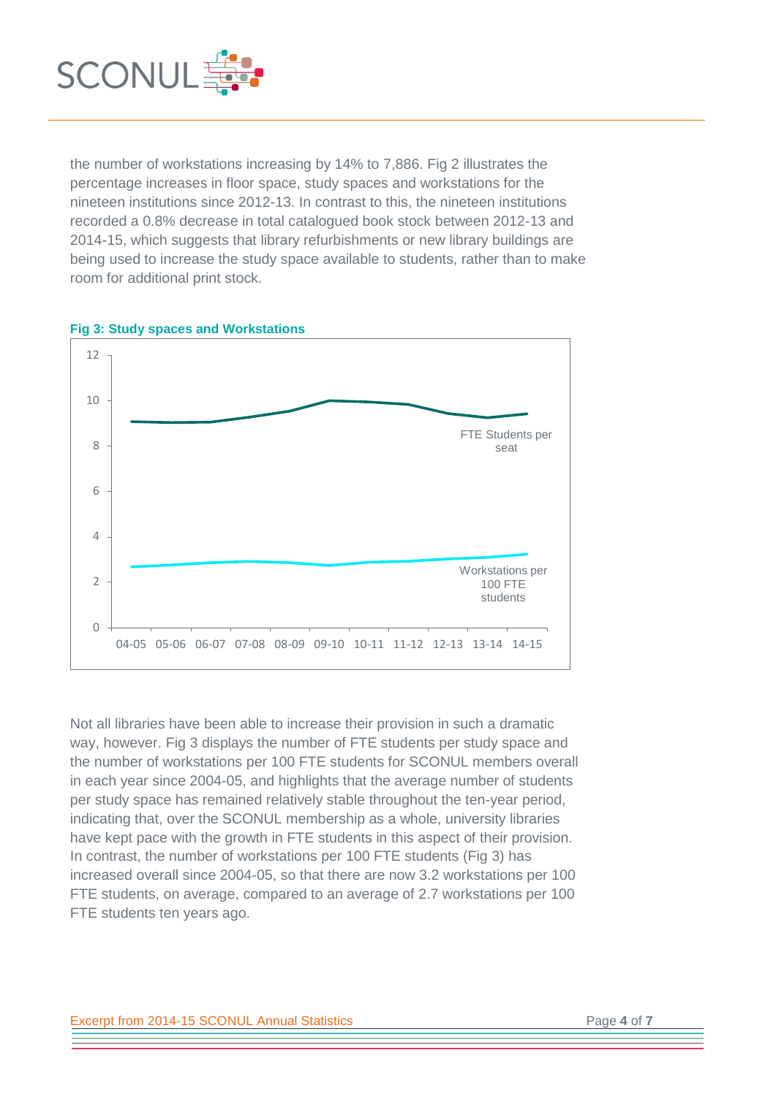

the number of workstations increasing by 14% to 7,886. Fig 2 illustrates the percentage increases in floor space, study spaces and workstations for the nineteen institutions since 2012-13. In contrast to this, the nineteen institutions recorded a 0.8% decrease in total catalogued book stock between 2012-13 and 2014-15, which suggests that library refurbishments or new library buildings are being used to increase the study space available to students, rather than to make room for additional print stock.



**Fig 3: Study spaces and Workstations**

Not all libraries have been able to increase their provision in such a dramatic way, however. Fig 3 displays the number of FTE students per study space and the number of workstations per 100 FTE students for SCONUL members overall in each year since 2004-05, and highlights that the average number of students per study space has remained relatively stable throughout the ten-year period, indicating that, over the SCONUL membership as a whole, university libraries have kept pace with the growth in FTE students in this aspect of their provision. In contrast, the number of workstations per 100 FTE students (Fig 3) has increased overall since 2004-05, so that there are now 3.2 workstations per 100 FTE students, on average, compared to an average of 2.7 workstations per 100 FTE students ten years ago.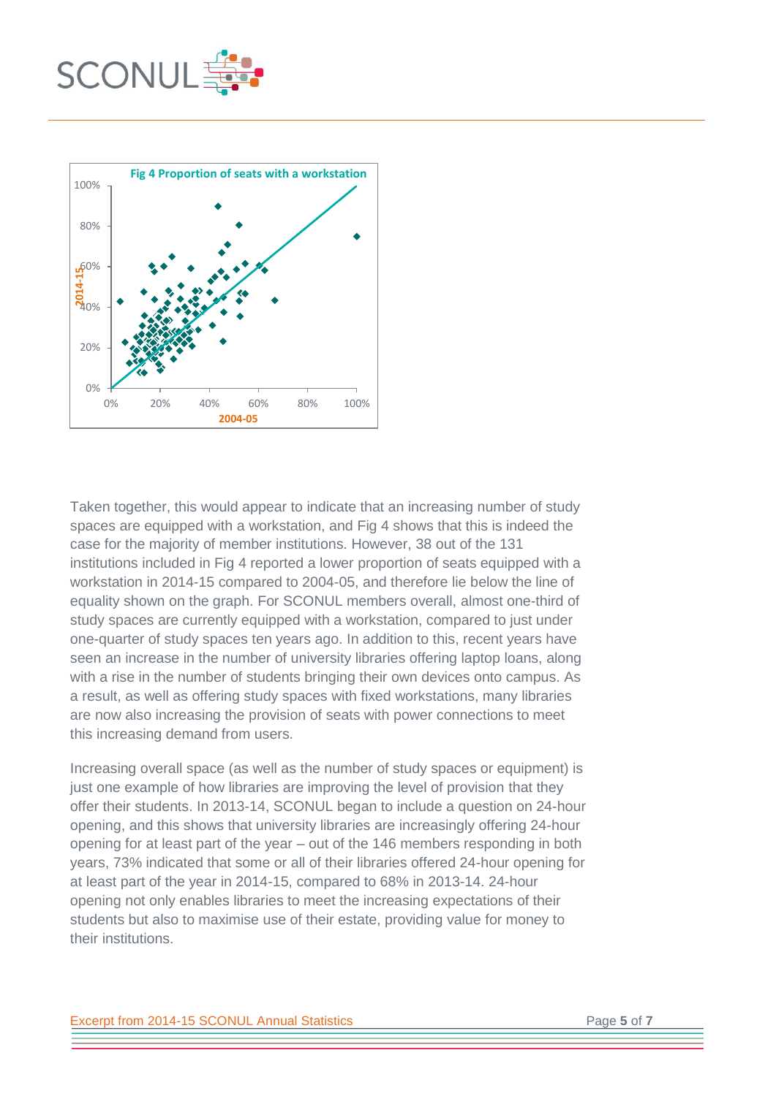



Taken together, this would appear to indicate that an increasing number of study spaces are equipped with a workstation, and Fig 4 shows that this is indeed the case for the majority of member institutions. However, 38 out of the 131 institutions included in Fig 4 reported a lower proportion of seats equipped with a workstation in 2014-15 compared to 2004-05, and therefore lie below the line of equality shown on the graph. For SCONUL members overall, almost one-third of study spaces are currently equipped with a workstation, compared to just under one-quarter of study spaces ten years ago. In addition to this, recent years have seen an increase in the number of university libraries offering laptop loans, along with a rise in the number of students bringing their own devices onto campus. As a result, as well as offering study spaces with fixed workstations, many libraries are now also increasing the provision of seats with power connections to meet this increasing demand from users.

Increasing overall space (as well as the number of study spaces or equipment) is just one example of how libraries are improving the level of provision that they offer their students. In 2013-14, SCONUL began to include a question on 24-hour opening, and this shows that university libraries are increasingly offering 24-hour opening for at least part of the year – out of the 146 members responding in both years, 73% indicated that some or all of their libraries offered 24-hour opening for at least part of the year in 2014-15, compared to 68% in 2013-14. 24-hour opening not only enables libraries to meet the increasing expectations of their students but also to maximise use of their estate, providing value for money to their institutions.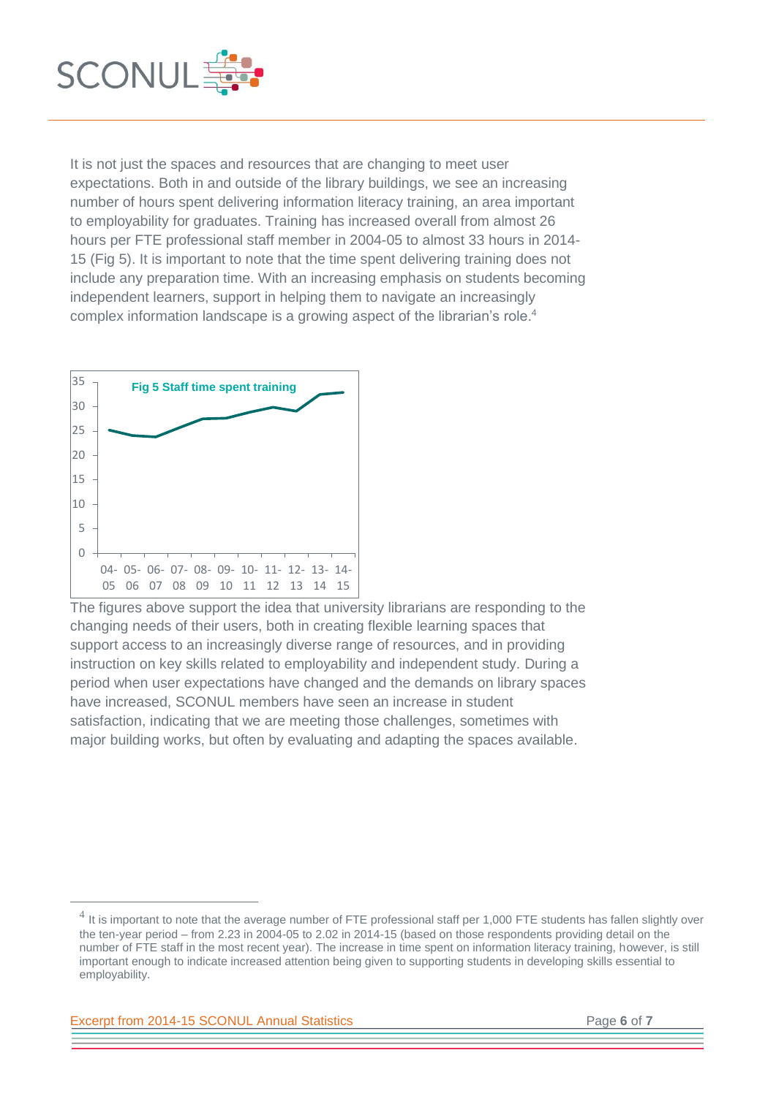

It is not just the spaces and resources that are changing to meet user expectations. Both in and outside of the library buildings, we see an increasing number of hours spent delivering information literacy training, an area important to employability for graduates. Training has increased overall from almost 26 hours per FTE professional staff member in 2004-05 to almost 33 hours in 2014- 15 (Fig 5). It is important to note that the time spent delivering training does not include any preparation time. With an increasing emphasis on students becoming independent learners, support in helping them to navigate an increasingly complex information landscape is a growing aspect of the librarian's role.<sup>4</sup>



The figures above support the idea that university librarians are responding to the changing needs of their users, both in creating flexible learning spaces that support access to an increasingly diverse range of resources, and in providing instruction on key skills related to employability and independent study. During a period when user expectations have changed and the demands on library spaces have increased, SCONUL members have seen an increase in student satisfaction, indicating that we are meeting those challenges, sometimes with major building works, but often by evaluating and adapting the spaces available.

Excerpt from 2014-15 SCONUL Annual Statistics Page **6** of **7**

 $^4$  It is important to note that the average number of FTE professional staff per 1,000 FTE students has fallen slightly over the ten-year period – from 2.23 in 2004-05 to 2.02 in 2014-15 (based on those respondents providing detail on the number of FTE staff in the most recent year). The increase in time spent on information literacy training, however, is still important enough to indicate increased attention being given to supporting students in developing skills essential to employability.